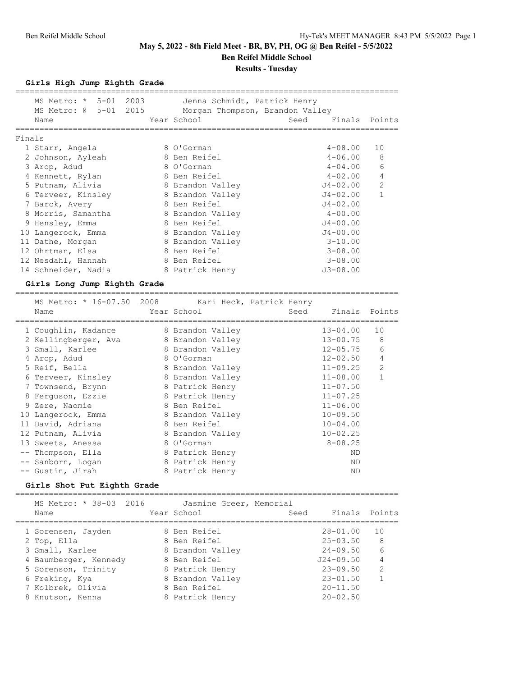**Ben Reifel Middle School**

### **Results - Tuesday**

### **Girls High Jump Eighth Grade**

|        | MS Metro: * 5-01 2003<br>MS Metro: @ 5-01 2015<br>Name | Jenna Schmidt, Patrick Henry<br>Morgan Thompson, Brandon Valley<br>Year School | Seed<br>Finals Points |                |
|--------|--------------------------------------------------------|--------------------------------------------------------------------------------|-----------------------|----------------|
| Finals |                                                        |                                                                                |                       |                |
|        | 1 Starr, Angela                                        | 8 O'Gorman                                                                     | $4 - 08.00$           | 10             |
|        | 2 Johnson, Ayleah                                      | 8 Ben Reifel                                                                   | $4 - 06.00$           | 8              |
|        | 3 Arop, Adud                                           | 8 O'Gorman                                                                     | $4 - 04.00$           | 6              |
|        | 4 Kennett, Rylan                                       | 8 Ben Reifel                                                                   | $4 - 02.00$           | $\overline{4}$ |
|        | 5 Putnam, Alivia                                       | 8 Brandon Valley                                                               | J4-02.00              | $\overline{2}$ |
|        | 6 Terveer, Kinsley                                     | 8 Brandon Valley                                                               | $J4 - 02.00$          | 1              |
|        | 7 Barck, Avery                                         | 8 Ben Reifel                                                                   | $J4 - 02.00$          |                |
|        | 8 Morris, Samantha                                     | 8 Brandon Valley                                                               | $4 - 00.00$           |                |
|        | 9 Hensley, Emma                                        | 8 Ben Reifel                                                                   | $J4 - 00.00$          |                |
|        | 10 Langerock, Emma                                     | 8 Brandon Valley                                                               | $J4 - 00.00$          |                |
|        | 11 Dathe, Morgan                                       | 8 Brandon Valley                                                               | $3 - 10.00$           |                |
|        | 12 Ohrtman, Elsa                                       | 8 Ben Reifel                                                                   | $3 - 08.00$           |                |
|        | 12 Nesdahl, Hannah                                     | 8 Ben Reifel                                                                   | $3 - 08.00$           |                |
|        | 14 Schneider, Nadia                                    | 8 Patrick Henry                                                                | $J3 - 08.00$          |                |

#### **Girls Long Jump Eighth Grade**

================================================================================

| MS Metro: * 16-07.50 2008<br>Name | Kari Heck, Patrick Henry<br>Year School | Seed | Finals Points |    |
|-----------------------------------|-----------------------------------------|------|---------------|----|
| 1 Coughlin, Kadance               | 8 Brandon Valley                        |      | $13 - 04.00$  | 10 |
| 2 Kellingberger, Ava              | 8 Brandon Valley                        |      | $13 - 00.75$  | 8  |
| 3 Small, Karlee                   | 8 Brandon Valley                        |      | $12 - 05.75$  | 6  |
| 4 Arop, Adud                      | 8 O'Gorman                              |      | $12 - 02.50$  | 4  |
| 5 Reif, Bella                     | 8 Brandon Valley                        |      | $11 - 09.25$  | 2  |
| 6 Terveer, Kinsley                | 8 Brandon Valley                        |      | $11 - 08.00$  |    |
| 7 Townsend, Brynn                 | 8 Patrick Henry                         |      | $11 - 07.50$  |    |
| 8 Ferquson, Ezzie                 | 8 Patrick Henry                         |      | $11 - 07.25$  |    |
| 9 Zere, Naomie                    | 8 Ben Reifel                            |      | $11 - 06.00$  |    |
| 10 Langerock, Emma                | 8 Brandon Valley                        |      | $10 - 09.50$  |    |
| 11 David, Adriana                 | 8 Ben Reifel                            |      | $10 - 04.00$  |    |
| 12 Putnam, Alivia                 | 8 Brandon Valley                        |      | $10 - 02.25$  |    |
| 13 Sweets, Anessa                 | 8 O'Gorman                              |      | $8 - 08.25$   |    |
| -- Thompson, Ella                 | 8 Patrick Henry                         |      | ND            |    |
| -- Sanborn, Logan                 | 8 Patrick Henry                         |      | ND            |    |
| -- Gustin, Jirah                  | 8 Patrick Henry                         |      | ND            |    |
|                                   |                                         |      |               |    |

## **Girls Shot Put Eighth Grade**

| MS Metro: * 38-03 2016<br>Name | Jasmine Greer, Memorial<br>Year School | Seed          | Finals Points  |
|--------------------------------|----------------------------------------|---------------|----------------|
| 1 Sorensen, Jayden             | 8 Ben Reifel                           | $28 - 01.00$  | 10             |
| 2 Top, Ella                    | 8 Ben Reifel                           | $25 - 03.50$  | 8              |
| 3 Small, Karlee                | 8 Brandon Valley                       | $24 - 09.50$  | 6              |
| 4 Baumberger, Kennedy          | 8 Ben Reifel                           | $J24 - 09.50$ | 4              |
| 5 Sorenson, Trinity            | 8 Patrick Henry                        | $23 - 09.50$  | $\overline{2}$ |
| 6 Freking, Kya                 | 8 Brandon Valley                       | $23 - 01.50$  |                |
| 7 Kolbrek, Olivia              | 8 Ben Reifel                           | $20 - 11.50$  |                |
| 8 Knutson, Kenna               | 8 Patrick Henry                        | $20 - 02.50$  |                |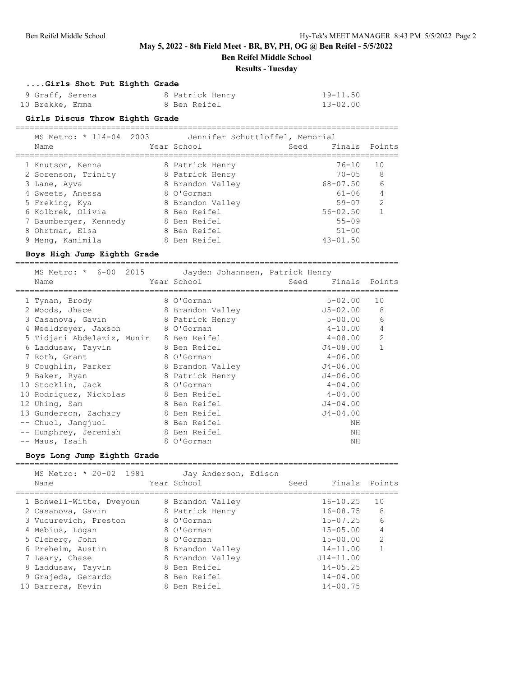**Ben Reifel Middle School**

### **Results - Tuesday**

### **....Girls Shot Put Eighth Grade**

| 9 Graff, Serena | 8 Patrick Henry | 19-11.50     |
|-----------------|-----------------|--------------|
| 10 Brekke, Emma | 8 Ben Reifel    | $13 - 02.00$ |

#### **Girls Discus Throw Eighth Grade**

================================================================================

| MS Metro: * 114-04 2003 | Jennifer Schuttloffel, Memorial |      |               |               |
|-------------------------|---------------------------------|------|---------------|---------------|
| Name                    | Year School                     | Seed | Finals Points |               |
| 1 Knutson, Kenna        | 8 Patrick Henry                 |      | $76 - 10$     | 10            |
| 2 Sorenson, Trinity     | 8 Patrick Henry                 |      | $70 - 0.5$    | 8             |
| 3 Lane, Ayva            | 8 Brandon Valley                |      | $68 - 07.50$  | 6             |
| 4 Sweets, Anessa        | 8 O'Gorman                      |      | $61 - 06$     | 4             |
| 5 Freking, Kya          | 8 Brandon Valley                |      | $59 - 07$     | $\mathcal{P}$ |
| 6 Kolbrek, Olivia       | 8 Ben Reifel                    |      | $56 - 02.50$  |               |
| 7 Baumberger, Kennedy   | 8 Ben Reifel                    |      | $55 - 09$     |               |
| 8 Ohrtman, Elsa         | 8 Ben Reifel                    |      | $51 - 00$     |               |
| 9 Meng, Kamimila        | 8 Ben Reifel                    |      | $43 - 01.50$  |               |

### **Boys High Jump Eighth Grade**

================================================================================

| MS Metro: * 6-00 2015 Jayden Johannsen, Patrick Henry |                  |              |                |
|-------------------------------------------------------|------------------|--------------|----------------|
| Name                                                  | Year School      | Seed         | Finals Points  |
| 1 Tynan, Brody                                        | 8 O'Gorman       | $5 - 02.00$  | 10             |
| 2 Woods, Jhace                                        | 8 Brandon Valley | J5-02.00     | 8              |
| 3 Casanova, Gavin                                     | 8 Patrick Henry  | $5 - 00.00$  | 6              |
| 4 Weeldreyer, Jaxson                                  | 8 O'Gorman       | $4 - 10.00$  | 4              |
| 5 Tidjani Abdelaziz, Munir 8 Ben Reifel               |                  | $4 - 08.00$  | $\overline{2}$ |
| 6 Laddusaw, Tayvin                                    | 8 Ben Reifel     | J4-08.00     |                |
| 7 Roth, Grant                                         | 8 O'Gorman       | $4 - 06.00$  |                |
| 8 Coughlin, Parker                                    | 8 Brandon Valley | $J4 - 06.00$ |                |
| 9 Baker, Ryan                                         | 8 Patrick Henry  | $J4 - 06.00$ |                |
| 10 Stocklin, Jack                                     | 8 O'Gorman       | $4 - 04.00$  |                |
| 10 Rodriquez, Nickolas                                | 8 Ben Reifel     | $4 - 04.00$  |                |
| 12 Uhing, Sam                                         | 8 Ben Reifel     | $J4 - 04.00$ |                |
| 13 Gunderson, Zachary                                 | 8 Ben Reifel     | $J4 - 04.00$ |                |
| -- Chuol, Jangjuol                                    | 8 Ben Reifel     | NΗ           |                |
| -- Humphrey, Jeremiah                                 | 8 Ben Reifel     | ΝH           |                |
| -- Maus, Isaih                                        | 8 O'Gorman       | NΗ           |                |

### **Boys Long Jump Eighth Grade**

|    | MS Metro: * 20-02 1981<br>Name | Jay Anderson, Edison<br>Year School | Seed | Finals Points |               |
|----|--------------------------------|-------------------------------------|------|---------------|---------------|
|    | 1 Bonwell-Witte, Dveyoun       | 8 Brandon Valley                    |      | $16 - 10.25$  | 10            |
|    | 2 Casanova, Gavin              | 8 Patrick Henry                     |      | 16-08.75      | 8             |
|    | 3 Vucurevich, Preston          | 8 O'Gorman                          |      | $15 - 07.25$  | 6             |
|    | 4 Mebius, Logan                | 8 O'Gorman                          |      | $15 - 05.00$  | 4             |
|    | 5 Cleberg, John                | 8 O'Gorman                          |      | $15 - 00.00$  | $\mathcal{L}$ |
|    | 6 Preheim, Austin              | 8 Brandon Valley                    |      | $14 - 11.00$  |               |
|    | 7 Leary, Chase                 | 8 Brandon Valley                    |      | $J14 - 11.00$ |               |
|    | 8 Laddusaw, Tayvin             | 8 Ben Reifel                        |      | $14 - 05.25$  |               |
|    | 9 Grajeda, Gerardo             | 8 Ben Reifel                        |      | $14 - 04.00$  |               |
| 10 | Barrera, Kevin                 | 8 Ben Reifel                        |      | $14 - 00.75$  |               |

================================================================================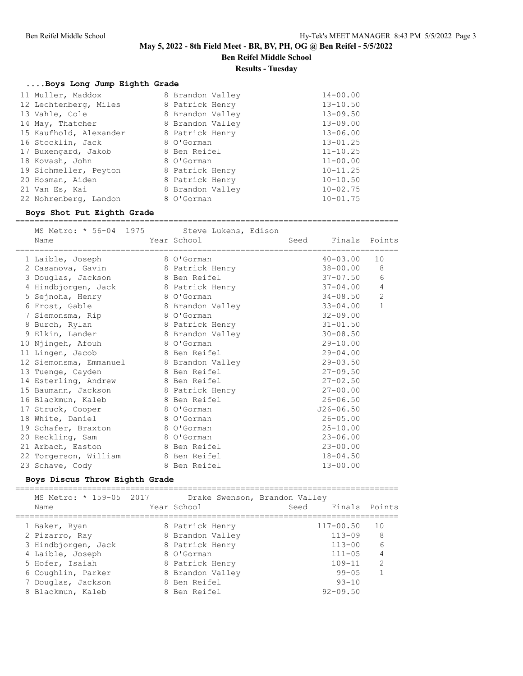**Ben Reifel Middle School**

**Results - Tuesday**

### **....Boys Long Jump Eighth Grade**

| 11 Muller, Maddox      | 8 Brandon Valley | $14 - 00.00$ |
|------------------------|------------------|--------------|
| 12 Lechtenberg, Miles  | 8 Patrick Henry  | $13 - 10.50$ |
| 13 Vahle, Cole         | 8 Brandon Valley | $13 - 09.50$ |
| 14 May, Thatcher       | 8 Brandon Valley | $13 - 09.00$ |
| 15 Kaufhold, Alexander | 8 Patrick Henry  | $13 - 06.00$ |
| 16 Stocklin, Jack      | 8 O'Gorman       | $13 - 01.25$ |
| 17 Buxengard, Jakob    | 8 Ben Reifel     | $11 - 10.25$ |
| 18 Kovash, John        | 8 O'Gorman       | $11 - 00.00$ |
| 19 Sichmeller, Peyton  | 8 Patrick Henry  | $10 - 11.25$ |
| 20 Hosman, Aiden       | 8 Patrick Henry  | $10 - 10.50$ |
| 21 Van Es, Kai         | 8 Brandon Valley | $10 - 02.75$ |
| 22 Nohrenberg, Landon  | 8 O'Gorman       | $10 - 01.75$ |
|                        |                  |              |

#### **Boys Shot Put Eighth Grade** ================================================================================

MS Metro: \* 56-04 1975 Steve Lukens, Edison Name Year School Seed Finals Points ================================================================================ 1 Laible, Joseph 8 O'Gorman 40-03.00 10 2 Casanova, Gavin 8 Patrick Henry 38-00.00 8 3 Douglas, Jackson 8 Ben Reifel 37-07.50 6 4 Hindbjorgen, Jack 8 Patrick Henry 37-04.00 4 5 Sejnoha, Henry 8 O'Gorman 34-08.50 2 6 Frost, Gable 8 Brandon Valley 33-04.00 1 7 Siemonsma, Rip 8 O'Gorman 32-09.00 8 Burch, Rylan 8 Patrick Henry 31-01.50 9 Elkin, Lander 8 Brandon Valley 30-08.50 10 Njingeh, Afouh 8 O'Gorman 29-10.00 11 Lingen, Jacob 8 Ben Reifel 29-04.00 12 Siemonsma, Emmanuel 8 Brandon Valley 29-03.50 13 Tuenge, Cayden 8 Ben Reifel 27-09.50 14 Esterling, Andrew 8 Ben Reifel 27-02.50 15 Baumann, Jackson 8 Patrick Henry 27-00.00 16 Blackmun, Kaleb 8 Ben Reifel 26-06.50 17 Struck, Cooper 8 O'Gorman J26-06.50 18 White, Daniel 8 O'Gorman 26-05.00 19 Schafer, Braxton 8 O'Gorman 25-10.00 20 Reckling, Sam 8 O'Gorman 23-06.00 21 Arbach, Easton 8 Ben Reifel 23-00.00 22 Torgerson, William 8 Ben Reifel 18-04.50 23 Schave, Cody 8 Ben Reifel 13-00.00

#### **Boys Discus Throw Eighth Grade**

================================================================================

| MS Metro: * 159-05 2017 |                  | Drake Swenson, Brandon Valley |               |
|-------------------------|------------------|-------------------------------|---------------|
| Name                    | Year School      | Seed                          | Finals Points |
| 1 Baker, Ryan           | 8 Patrick Henry  | $117 - 00.50$                 | 10            |
| 2 Pizarro, Ray          | 8 Brandon Valley | $113 - 09$                    | 8             |
| 3 Hindbjorgen, Jack     | 8 Patrick Henry  | $113 - 00$                    | 6             |
| 4 Laible, Joseph        | 8 O'Gorman       | $111 - 05$                    | 4             |
| 5 Hofer, Isaiah         | 8 Patrick Henry  | $109 - 11$                    | $\mathcal{D}$ |
| 6 Coughlin, Parker      | 8 Brandon Valley | $99 - 05$                     |               |
| 7 Douglas, Jackson      | 8 Ben Reifel     | $93 - 10$                     |               |
| 8 Blackmun, Kaleb       | 8 Ben Reifel     | $92 - 09.50$                  |               |
|                         |                  |                               |               |